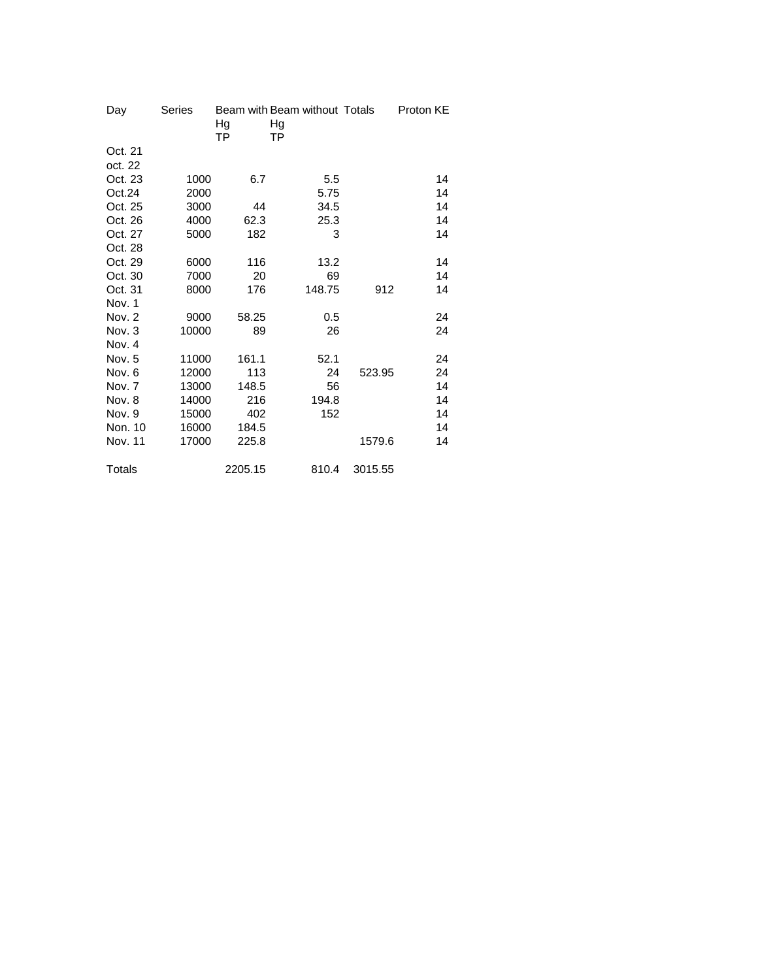| Day           | <b>Series</b> |           | Beam with Beam without Totals |         | Proton KE |
|---------------|---------------|-----------|-------------------------------|---------|-----------|
|               |               | Hg        | Hg                            |         |           |
|               |               | <b>TP</b> | <b>TP</b>                     |         |           |
| Oct. 21       |               |           |                               |         |           |
| oct. 22       |               |           |                               |         |           |
| Oct. 23       | 1000          | 6.7       | 5.5                           |         | 14        |
| Oct.24        | 2000          |           | 5.75                          |         | 14        |
| Oct. 25       | 3000          | 44        | 34.5                          |         | 14        |
| Oct. 26       | 4000          | 62.3      | 25.3                          |         | 14        |
| Oct. 27       | 5000          | 182       | 3                             |         | 14        |
| Oct. 28       |               |           |                               |         |           |
| Oct. 29       | 6000          | 116       | 13.2                          |         | 14        |
| Oct. 30       | 7000          | 20        | 69                            |         | 14        |
| Oct. 31       | 8000          | 176       | 148.75                        | 912     | 14        |
| Nov. 1        |               |           |                               |         |           |
| Nov. 2        | 9000          | 58.25     | 0.5                           |         | 24        |
| Nov. 3        | 10000         | 89        | 26                            |         | 24        |
| Nov. 4        |               |           |                               |         |           |
| Nov. 5        | 11000         | 161.1     | 52.1                          |         | 24        |
| Nov. 6        | 12000         | 113       | 24                            | 523.95  | 24        |
| Nov. 7        | 13000         | 148.5     | 56                            |         | 14        |
| Nov. 8        | 14000         | 216       | 194.8                         |         | 14        |
| Nov. 9        | 15000         | 402       | 152                           |         | 14        |
| Non. 10       | 16000         | 184.5     |                               |         | 14        |
| Nov. 11       | 17000         | 225.8     |                               | 1579.6  | 14        |
| <b>Totals</b> |               | 2205.15   | 810.4                         | 3015.55 |           |